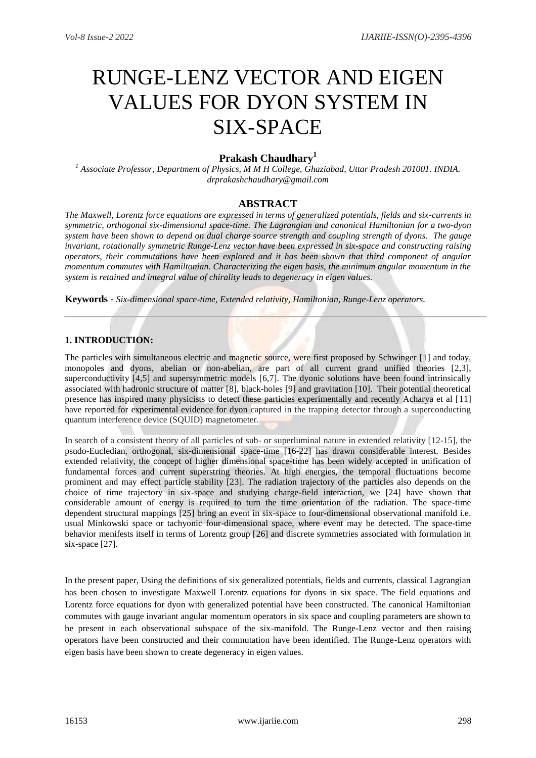# RUNGE-LENZ VECTOR AND EIGEN VALUES FOR DYON SYSTEM IN SIX-SPACE

## **Prakash Chaudhary<sup>1</sup>**

*<sup>1</sup> Associate Professor, Department of Physics, M M H College, Ghaziabad, Uttar Pradesh 201001. INDIA. drprakashchaudhary@gmail.com*

## **ABSTRACT**

*The Maxwell, Lorentz force equations are expressed in terms of generalized potentials, fields and six-currents in symmetric, orthogonal six-dimensional space-time. The Lagrangian and canonical Hamiltonian for a two-dyon system have been shown to depend on dual charge source strength and coupling strength of dyons. The gauge invariant, rotationally symmetric Runge-Lenz vector have been expressed in six-space and constructing raising operators, their commutations have been explored and it has been shown that third component of angular momentum commutes with Hamiltonian. Characterizing the eigen basis, the minimum angular momentum in the system is retained and integral value of chirality leads to degeneracy in eigen values.* 

**Keywords -** *Six-dimensional space-time, Extended relativity, Hamiltonian, Runge-Lenz operators.* 

### **1. INTRODUCTION:**

The particles with simultaneous electric and magnetic source, were first proposed by Schwinger [1] and today, monopoles and dyons, abelian or non-abelian, are part of all current grand unified theories [2,3], superconductivity [4,5] and supersymmetric models [6,7]. The dyonic solutions have been found intrinsically associated with hadronic structure of matter [8], black-holes [9] and gravitation [10]. Their potential theoretical presence has inspired many physicists to detect these particles experimentally and recently Acharya et al [11] have reported for experimental evidence for dyon captured in the trapping detector through a superconducting quantum interference device (SQUID) magnetometer.

In search of a consistent theory of all particles of sub- or superluminal nature in extended relativity [12-15], the psudo-Eucledian, orthogonal, six-dimensional space-time [16-22] has drawn considerable interest. Besides extended relativity, the concept of higher dimensional space-time has been widely accepted in unification of fundamental forces and current superstring theories. At high energies, the temporal fluctuations become prominent and may effect particle stability [23]. The radiation trajectory of the particles also depends on the choice of time trajectory in six-space and studying charge-field interaction, we [24] have shown that considerable amount of energy is required to turn the time orientation of the radiation. The space-time dependent structural mappings [25] bring an event in six-space to four-dimensional observational manifold i.e. usual Minkowski space or tachyonic four-dimensional space, where event may be detected. The space-time behavior menifests itself in terms of Lorentz group [26] and discrete symmetries associated with formulation in six-space [27].

In the present paper, Using the definitions of six generalized potentials, fields and currents, classical Lagrangian has been chosen to investigate Maxwell Lorentz equations for dyons in six space. The field equations and Lorentz force equations for dyon with generalized potential have been constructed. The canonical Hamiltonian commutes with gauge invariant angular momentum operators in six space and coupling parameters are shown to be present in each observational subspace of the six-manifold. The Runge-Lenz vector and then raising operators have been constructed and their commutation have been identified. The Runge-Lenz operators with eigen basis have been shown to create degeneracy in eigen values.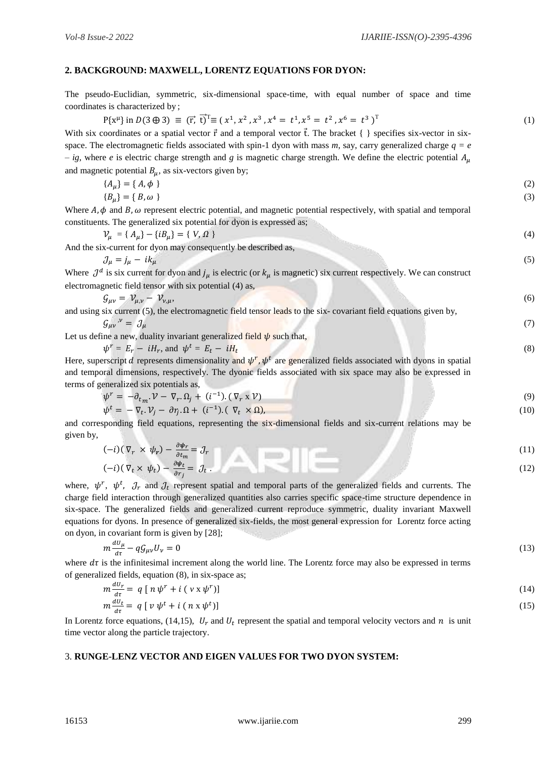## **2. BACKGROUND: MAXWELL, LORENTZ EQUATIONS FOR DYON:**

The pseudo-Euclidian, symmetric, six-dimensional space-time, with equal number of space and time coordinates is characterized by ;

| coordinates is characterized by,                                                                                                                                                 |      |
|----------------------------------------------------------------------------------------------------------------------------------------------------------------------------------|------|
| $P\{x^{\mu}\}\$ in $D(3\oplus 3) \equiv (\vec{r}, \vec{t})^T \equiv (x^1, x^2, x^3, x^4 = t^1, x^5 = t^2, x^6 = t^3)^T$                                                          | (1)  |
| With six coordinates or a spatial vector $\vec{r}$ and a temporal vector $\vec{t}$ . The bracket { } specifies six-vector in six-                                                |      |
| space. The electromagnetic fields associated with spin-1 dyon with mass m, say, carry generalized charge $q = e$                                                                 |      |
| - ig, where e is electric charge strength and g is magnetic charge strength. We define the electric potential $A_\mu$                                                            |      |
| and magnetic potential $B_{\mu}$ , as six-vectors given by;                                                                                                                      |      |
| ${A_u} = {A, \phi}$                                                                                                                                                              | (2)  |
| ${B_u} = {B, \omega}$                                                                                                                                                            | (3)  |
| Where $A$ , $\phi$ and $B$ , $\omega$ represent electric potential, and magnetic potential respectively, with spatial and temporal                                               |      |
| constituents. The generalized six potential for dyon is expressed as;                                                                                                            |      |
| $V_u = \{ A_u \} - \{ i B_u \} = \{ V, \Omega \}$                                                                                                                                | (4)  |
| And the six-current for dyon may consequently be described as,                                                                                                                   |      |
| $\mathcal{J}_{\mu} = j_{\mu} - i k_{\mu}$                                                                                                                                        | (5)  |
| Where $J^d$ is six current for dyon and $j_\mu$ is electric (or $k_\mu$ is magnetic) six current respectively. We can construct                                                  |      |
| electromagnetic field tensor with six potential (4) as,                                                                                                                          |      |
| $\mathcal{G}_{\mu\nu} = \mathcal{V}_{\mu,\nu} - \mathcal{V}_{\nu,\mu},$                                                                                                          | (6)  |
| and using six current (5), the electromagnetic field tensor leads to the six-covariant field equations given by,                                                                 |      |
| $\mathcal{G}_{\mu\nu}^{\;\;\;\;\nu} = \mathcal{J}_{\mu}$                                                                                                                         | (7)  |
| Let us define a new, duality invariant generalized field $\psi$ such that,                                                                                                       |      |
| $\psi^r = E_r - iH_r$ , and $\psi^t = E_t - iH_t$                                                                                                                                | (8)  |
| Here, superscript d represents dimensionality and $\psi^r$ , $\psi^t$ are generalized fields associated with dyons in spatial                                                    |      |
| and temporal dimensions, respectively. The dyonic fields associated with six space may also be expressed in                                                                      |      |
| terms of generalized six potentials as,                                                                                                                                          |      |
| $\psi^r = -\partial_{t_m} \mathcal{V} - \nabla_r \Omega_j + (i^{-1}) \cdot (\nabla_r x \mathcal{V})$                                                                             | (9)  |
| $\psi^t = -\nabla_t \cdot \mathcal{V}_i - \partial r_i \cdot \Omega + (i^{-1}) \cdot (\nabla_t \times \Omega),$                                                                  | (10) |
| and corresponding field equations, representing the six-dimensional fields and six-current relations may be                                                                      |      |
| given by,                                                                                                                                                                        |      |
| $(-i)(\nabla_r \times \psi_r) - \frac{\partial \psi_r}{\partial t_m} = \mathcal{J}_r$<br>$(-i)(\nabla_t \times \psi_t) - \frac{\partial \psi_t}{\partial r_i} = \mathcal{J}_t$ . | (11) |
|                                                                                                                                                                                  | (12) |
|                                                                                                                                                                                  |      |
| where, $\psi^r$ , $\psi^t$ , $\partial_r$ and $\partial_t$ represent spatial and temporal parts of the generalized fields and currents. The                                      |      |
| charge field interaction through generalized quantities also carries specific space-time structure dependence in                                                                 |      |
| six-space. The generalized fields and generalized current reproduce symmetric, duality invariant Maxwell                                                                         |      |
| equations for dyons. In presence of generalized six-fields, the most general expression for Lorentz force acting                                                                 |      |
| on dyon, in covariant form is given by [28];                                                                                                                                     |      |

$$
m\frac{dU_{\mu}}{d\tau} - q\mathcal{G}_{\mu\nu}U_{\nu} = 0\tag{13}
$$

where  $d\tau$  is the infinitesimal increment along the world line. The Lorentz force may also be expressed in terms of generalized fields, equation (8), in six-space as;  $\overline{d}$   $\overline{D}$ 

$$
m\frac{dv_r}{d\tau} = q [n\psi^r + i (v \times \psi^r)]
$$
  
\n
$$
m\frac{dv_t}{d\tau} = q [v\psi^t + i (n \times \psi^t)]
$$
\n(14)

In Lorentz force equations, (14,15),  $U_r$  and  $U_t$  represent the spatial and temporal velocity vectors and  $n$  is unit time vector along the particle trajectory.

## 3. **RUNGE-LENZ VECTOR AND EIGEN VALUES FOR TWO DYON SYSTEM:**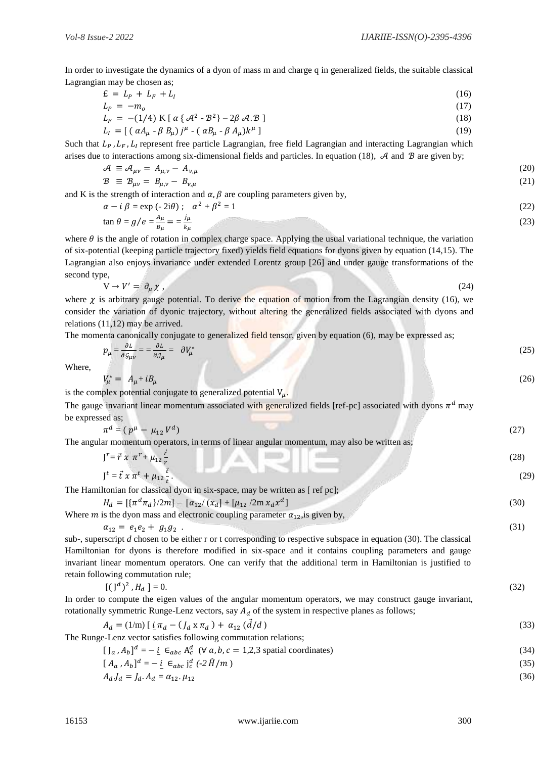In order to investigate the dynamics of a dyon of mass m and charge q in generalized fields, the suitable classical Lagrangian may be chosen as;

$$
\mathbf{E} = L_p + L_f + L_l \tag{16}
$$

$$
L_p = -m_o \tag{17}
$$

$$
L_F = -(1/4) \text{ K} [\alpha \{\mathcal{A}^2 - \mathcal{B}^2\} - 2\beta \mathcal{A} \mathcal{B}]
$$
\n
$$
L_I = [(\alpha A_\mu - \beta B_\mu)j^\mu - (\alpha B_\mu - \beta A_\mu)k^\mu]
$$
\n(18)

Such that  $L_p$ ,  $L_f$ ,  $L_l$  represent free particle Lagrangian, free field Lagrangian and interacting Lagrangian which arises due to interactions among six-dimensional fields and particles. In equation (18),  $\mathcal A$  and  $\mathcal B$  are given by;

$$
\mathcal{A} \equiv \mathcal{A}_{\mu\nu} = A_{\mu,\nu} - A_{\nu,\mu} \tag{20}
$$
\n
$$
\mathcal{B} \equiv \mathcal{B}_{\mu\nu} = B_{\mu,\nu} - B_{\nu,\mu} \tag{21}
$$

and K is the strength of interaction and  $\alpha$ ,  $\beta$  are coupling parameters given by,

$$
\alpha - i \beta = \exp(-2i\theta); \quad \alpha^2 + \beta^2 = 1
$$
\n
$$
\tan \theta = g/e = \frac{A_\mu}{B_\mu} = \frac{j_\mu}{k_\mu}
$$
\n(22)

where  $\theta$  is the angle of rotation in complex charge space. Applying the usual variational technique, the variation of six-potential (keeping particle trajectory fixed) yields field equations for dyons given by equation (14,15). The Lagrangian also enjoys invariance under extended Lorentz group [26] and under gauge transformations of the second type,

$$
V \to V' = \partial_{\mu} \chi \,, \tag{24}
$$

where  $\chi$  is arbitrary gauge potential. To derive the equation of motion from the Lagrangian density (16), we consider the variation of dyonic trajectory, without altering the generalized fields associated with dyons and relations (11,12) may be arrived.

The momenta canonically conjugate to generalized field tensor, given by equation (6), may be expressed as;

$$
p_{\mu} = \frac{\partial L}{\partial g_{\mu\nu}} = \frac{\partial L}{\partial \mathcal{J}_{\mu}} = \partial V_{\mu}^{*} \tag{25}
$$

Where,

$$
V_{\mu}^* = A_{\mu} + iB_{\mu} \tag{26}
$$

is the complex potential conjugate to generalized potential  $V_{\mu}$ .

The gauge invariant linear momentum associated with generalized fields [ref-pc] associated with dyons  $\pi^d$  may be expressed as;

| $\pi^d = (p^{\mu} - \mu_{12} V^d)$                                                           |  |
|----------------------------------------------------------------------------------------------|--|
| The angular momentum operators, in terms of linear angular momentum, may also be written as; |  |

| $J^r = \vec{r} \times \pi^r + \mu_{12} \frac{r}{r}$ | 28`  |
|-----------------------------------------------------|------|
| $J^t = \vec{t} \times \pi^t + \mu_{12} \frac{t}{t}$ | (29) |

The Hamiltonian for classical dyon in six-space, may be written as [ref pc];

 $H_d = [\{\pi^d \pi_d\}/2m] - [\alpha_{12}/(\chi_d] + [\mu_{12}/2m \chi_d \chi^d$  $\frac{1}{2}$  (30)

Where *m* is the dyon mass and electronic coupling parameter  $\alpha_{12}$ , is given by,

$$
\alpha_{12} = e_1e_2 + g_1g_2
$$
\n(31)

\nsub-, superscript *d* chosen to be either r or t corresponding to respective subspace in equation (30). The classical Hamiltonian for dyons is therefore modified in six-space and it contains coupling parameters and gauge invariant linear momentum operators. One can verify that the additional term in Hamiltonian is justified to retain following commutation rule;

| $[(J^d)^2, H_d] = 0.$ |  |  |  | (32) |
|-----------------------|--|--|--|------|
|                       |  |  |  |      |

In order to compute the eigen values of the angular momentum operators, we may construct gauge invariant, rotationally symmetric Runge-Lenz vectors, say  $A_d$  of the system in respective planes as follows;

$$
A_d = (1/m) \left[ \underline{i} \pi_d - (J_d \times \pi_d) + \alpha_{12} (\overrightarrow{d}/d) \right] \tag{33}
$$

The Runge-Lenz vector satisfies following commutation relations;

| $[J_a, A_b]^d = -i \in_{abc} A_c^d$ ( $\forall a, b, c = 1,2,3$ spatial coordinates) | (34) |
|--------------------------------------------------------------------------------------|------|
|--------------------------------------------------------------------------------------|------|

$$
[A_a, A_b]^d = -\underline{i} \in_{abc} j_c^d \left( -2\widehat{H}/m \right) \tag{35}
$$

$$
A_d J_d = J_d A_d = \alpha_{12} \cdot \mu_{12} \tag{36}
$$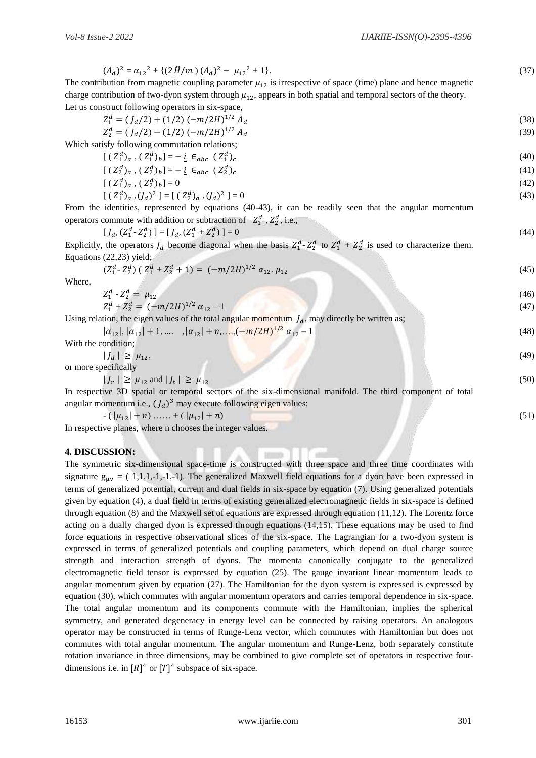$(A_d)^2 = \alpha_{12}^2 + \{(2 \hat{H}/m) (A_d)^2 - \mu_{12}\}$  $2 + 1$ . (37)

The contribution from magnetic coupling parameter  $\mu_{12}$  is irrespective of space (time) plane and hence magnetic charge contribution of two-dyon system through  $\mu_{12}$ , appears in both spatial and temporal sectors of the theory. Let us construct following operators in six-space,

$$
Z_1^d = (J_d/2) + (1/2) (-m/2H)^{1/2} A_d
$$
\n(38)

$$
Z_2^d = (J_d/2) - (1/2) (-m/2H)^{1/2} A_d
$$
\n(39)

Which satisfy following commutation relations;

$$
[(Z_1^d)_a, (Z_1^d)_b] = -\underline{i} \in_{abc} (Z_1^d)_c \tag{40}
$$

$$
[(Z_2^d)_a, (Z_2^d)_b] = -i \in_{abc} (Z_2^d)_c
$$
\n
$$
(41)
$$

$$
[(Z_1^d)_a, (Z_2^d)_b] = 0
$$
\n
$$
[(Z_1^d)_a, (J_d)^2] = [(Z_2^d)_a, (J_d)^2] = 0
$$
\n(42)

From the identities, represented by equations (40-43), it can be readily seen that the angular momentum operators commute with addition or subtraction of  $Z_1^d$ ,  $Z_2^d$ , i.e.,

$$
[J_d, (Z_1^d - Z_2^d)] = [J_d, (Z_1^d + Z_2^d)] = 0
$$
\n(44)

Explicitly, the operators  $J_d$  become diagonal when the basis  $Z_1^d$ - $Z_2^d$  to  $Z_1^d$  +  $Z_2^d$  is used to characterize them. Equations (22,23) yield;

$$
(Z_1^d - Z_2^d) (Z_1^d + Z_2^d + 1) = (-m/2H)^{1/2} \alpha_{12} \mu_{12} \tag{45}
$$

Where,

where,  
\n
$$
Z_1^d - Z_2^d = \mu_{12}
$$
\n
$$
Z_1^d + Z_2^d = (-m/2H)^{1/2} \alpha_{12} - 1
$$
\n(47)  
\nUsing relation, the eigen values of the total angular momentum  $J_d$ , may directly be written as;

$$
|\alpha_{12}|, |\alpha_{12}| + 1, \dots, |\alpha_{12}| + n, \dots, \left(-\frac{m}{2H}\right)^{1/2} \alpha_{12} - 1 \tag{48}
$$

With the condition;

 $|J_d| \geq \mu_{12}$  $| \geq \mu_{12},$  (49)

or more specifically

$$
|J_r| \ge \mu_{12} \text{ and } |J_t| \ge \mu_{12} \tag{50}
$$

In respective 3D spatial or temporal sectors of the six-dimensional manifold. The third component of total angular momentum i.e.,  $(J_d)^3$  may execute following eigen values;

 $-(|\mu_{12}| + n)$  …… +  $(|\mu_{12}| + n)$  (51)

In respective planes, where n chooses the integer values.

### **4. DISCUSSION:**

The symmetric six-dimensional space-time is constructed with three space and three time coordinates with signature  $g_{\mu\nu} = (1,1,1,-1,-1)$ . The generalized Maxwell field equations for a dyon have been expressed in terms of generalized potential, current and dual fields in six-space by equation (7). Using generalized potentials given by equation (4), a dual field in terms of existing generalized electromagnetic fields in six-space is defined through equation (8) and the Maxwell set of equations are expressed through equation (11,12). The Lorentz force acting on a dually charged dyon is expressed through equations (14,15). These equations may be used to find force equations in respective observational slices of the six-space. The Lagrangian for a two-dyon system is expressed in terms of generalized potentials and coupling parameters, which depend on dual charge source strength and interaction strength of dyons. The momenta canonically conjugate to the generalized electromagnetic field tensor is expressed by equation (25). The gauge invariant linear momentum leads to angular momentum given by equation (27). The Hamiltonian for the dyon system is expressed is expressed by equation (30), which commutes with angular momentum operators and carries temporal dependence in six-space. The total angular momentum and its components commute with the Hamiltonian, implies the spherical symmetry, and generated degeneracy in energy level can be connected by raising operators. An analogous operator may be constructed in terms of Runge-Lenz vector, which commutes with Hamiltonian but does not commutes with total angular momentum. The angular momentum and Runge-Lenz, both separately constitute rotation invariance in three dimensions, may be combined to give complete set of operators in respective fourdimensions i.e. in  $[R]^4$  or  $[T]^4$  subspace of six-space.